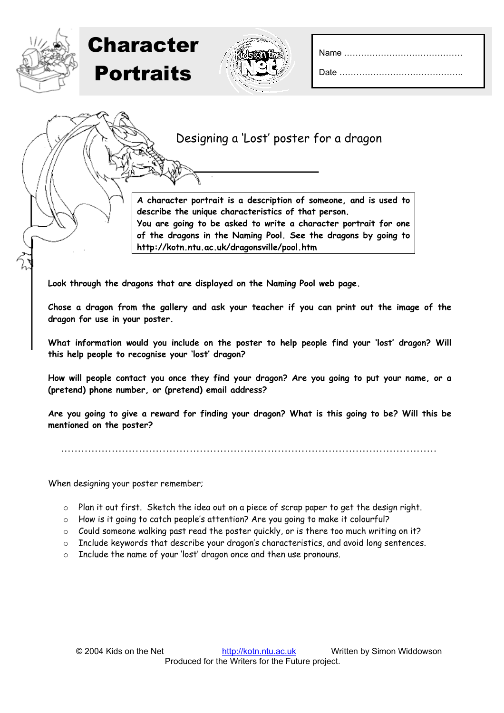|--|--|

## Designing a 'Lost' poster for a dragon

**A character portrait is a description of someone, and is used to describe the unique characteristics of that person. You are going to be asked to write a character portrait for one of the dragons in the Naming Pool. See the dragons by going to http://kotn.ntu.ac.uk/dragonsville/pool.htm**

**Look through the dragons that are displayed on the Naming Pool web page.** 

**Chose a dragon from the gallery and ask your teacher if you can print out the image of the dragon for use in your poster.** 

**What information would you include on the poster to help people find your 'lost' dragon? Will this help people to recognise your 'lost' dragon?** 

**How will people contact you once they find your dragon? Are you going to put your name, or a (pretend) phone number, or (pretend) email address?**

**Are you going to give a reward for finding your dragon? What is this going to be? Will this be mentioned on the poster?**

…………………………………………………………………………………………………

When designing your poster remember;

Character

**Portraits** 

- o Plan it out first. Sketch the idea out on a piece of scrap paper to get the design right.
- $\circ$  How is it going to catch people's attention? Are you going to make it colourful?
- o Could someone walking past read the poster quickly, or is there too much writing on it?
- $\circ$  Include keywords that describe your dragon's characteristics, and avoid long sentences.
- o Include the name of your 'lost' dragon once and then use pronouns.